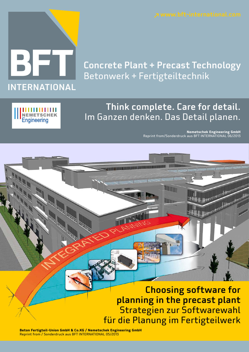

### Concrete Plant + Precast Technology Betonwerk + Fertigteiltechnik

# **NEMETSCHEK**<br>Engineering

### Think complete. Care for detail. Im Ganzen denken. Das Detail planen.

**Lin** 

**Nemetschek Engineering GmbH** Reprint from/Sonderdruck aus BFT INTERNATIONAL 06/2013

Choosing software for planning in the precast plant Strategien zur Softwarewahl für die Planung im Fertigteilwerk

**Beton Fertigteil-Union GmbH & Co.KG / Nemetschek Engineering GmbH** Reprint from / Sonderdruck aus BFT INTERNATIONAL 05/2013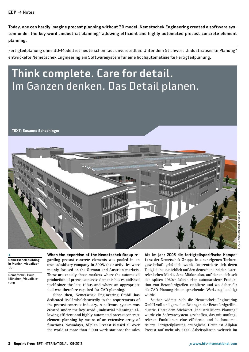Today, one can hardly imagine precast planning without 3D model. Nemetschek Engineering created a software system under the key word "industrial planning" allowing efficient and highly automated precast concrete element planning.

Fertigteilplanung ohne 3D-Modell ist heute schon fast unvorstellbar. Unter dem Stichwort "Industrialisierte Planung" entwickelte Nemetschek Engineering ein Softwaresystem für eine hochautomatisierte Fertigteilplanung.

## Think complete. Care for detail. Im Ganzen denken. Das Detail planen.

**TEXT: Susanne Schachinger**



1 Nemetschek building in Munich, visualization

Nemetschek Haus München, Visualisierung

**When the expertise of the Nemetschek Group regarding precast concrete elements was pooled in an own subsidiary company in 2005, their activities were mainly focused on the German and Austrian markets. These are exactly those markets where the automated production of precast concrete elements has established itself since the late 1980s and where an appropriate tool was therefore required for CAD planning.**

**Since then, Nemetschek Engineering GmbH has dedicated itself wholeheartedly to the requirements of the precast concrete industry. A software system was**  created under the key word "industrial planning" al**lowing efficient and highly automated precast concrete element planning by means of an extensive array of functions. Nowadays, Allplan Precast is used all over the world at more than 3,000 work stations; the sales** 

Als im Jahr 2005 die fertigteilspezifische Kompetenz der Nemetschek Gruppe in einer eigenen Tochtergesellschaft gebündelt wurde, konzentrierte sich deren Tätigkeit hauptsächlich auf den deutschen und den österreichischen Markt. Jene Märkte also, auf denen sich seit den späten 1980er Jahren eine automatisierte Produktion von Betonfertigteilen etablierte und wo daher für die CAD-Planung ein entsprechendes Werkzeug benötigt wurde.

Seither widmet sich die Nemetschek Engineering GmbH voll und ganz den Belangen der Betonfertigteilindustrie. Unter dem Stichwort "Industrialisierte Planung" wurde ein Softwaresystem geschaffen, das mit umfangreichen Funktionen eine effiziente und hochautomatisierte Fertigteilplanung ermöglicht. Heute ist Allplan Precast auf mehr als 3.000 Arbeitsplätzen weltweit im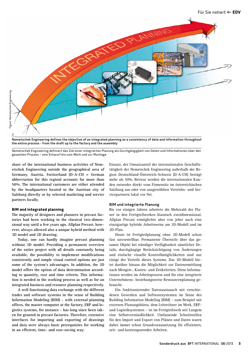

Nemetschek Engineering defines the objective of an integrated planning as a consistency of data and information throughout the entire process - from the draft up to the factory and the assembly

Nemetschek Engineering definiert das Ziel einer integrierten Planung als Durchgängigkeit von Daten und Informationen über den gesamten Prozess – vom Entwurf bis zum Werk und zur Montage

**share of the international business activities of Nemetschek Engineering outside the geographical area of Germany, Austria, Switzerland (D-A-CH = German abbreviation for this region) accounts for more than 50%. The international customers are either attended by the headquarters located in the Austrian city of Salzburg directly or by selected marketing and service partners locally.**

#### **BIM and integrated planning**

**The majority of designers and planners in precast factories had been working in the classical two-dimensional way until a few years ago. Allplan Precast, however, always allowed also a unique hybrid method with 3D model and 2D drawing.**

**Today, one can hardly imagine precast planning without 3D model. Providing a permanent overview of the entire project with all details constantly being available, the possibility to implement modifications consistently and simple visual control options are just some of the system's advantages. In addition, the 3D model offers the option of data determination according to quantity, cost and time criteria. This information is needed in the working process as well as for an integrated business and resource planning respectively.** 

**A well functioning data exchange with the different trades and software systems in the sense of Building Information Modeling (BIM) - with external planning offices, the master computer at the factory, ERP and logistics systems, for instance - has long since been taken for granted in precast factories. Therefore, extensive interfaces for importing and exporting of drawings and data were always basic prerequisites for working in an efficient, time- and cost-saving way.**

Einsatz, der Umsatzanteil der internationalen Geschäftstätigkeit der Nemetschek Engineering außerhalb der Region Deutschland-Österreich-Schweiz (D-A-CH) beträgt mehr als 50%. Betreut werden die internationalen Kunden entweder direkt vom Firmensitz im österreichischen Salzburg aus oder von ausgewählten Vertriebs- und Servicepartnern lokal vor Ort.

#### BIM und integrierte Planung

Bis vor einigen Jahren arbeitete die Mehrzahl der Planer in den Fertigteilwerken klassisch zweidimensional. Allplan Precast ermöglichte aber von jeher auch eine einzigartige hybride Arbeitsweise am 3D-Modell und im 2D-Plan.

Heute ist Fertigteilplanung ohne 3D-Modell schon fast unvorstellbar. Permanente Übersicht über das gesamte Objekt bei ständiger Verfügbarkeit sämtlicher Details, durchgängige Berücksichtigung von Änderungen und einfache visuelle Kontrollmöglichkeiten sind nur einige der Vorteile dieses Systems. Das 3D-Modell bietet darüber hinaus die Möglichkeit zur Datenermittlung nach Mengen-, Kosten- und Zeitkriterien. Diese Informationen werden im Arbeitsprozess und für eine integrierte Unternehmens- beziehungsweise Ressourcenplanung gebraucht.

Ein funktionierender Datenaustausch mit verschiedenen Gewerken und Softwaresystemen im Sinne des Building Information Modeling (BIM) – zum Beispiel mit externen Planungsbüros, dem Leitrechner im Werk, ERPund Logistiksystemen – ist im Fertigteilwerk seit Langem eine Selbstverständlichkeit. Umfassende Schnittstellen für den Import und Export von Plänen und Daten waren daher immer schon Grundvoraussetzung für effizientes, zeit- und kostensparendes Arbeiten.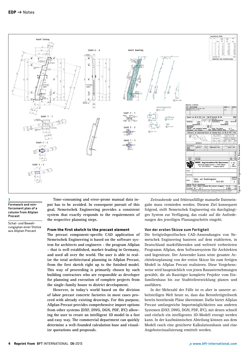

#### 3

Formwork and reinforcement plan of a column from Allplan Precast

Schal- und Bewehrungsplan einer Stütze aus Allplan Precast

**Time-consuming and error-prone manual data input has to be avoided. In consequent pursuit of this goal, Nemetschek Engineering provides a consistent system that exactly responds to the requirements of the respective planning steps.**

#### **From the first sketch to the precast element**

**The precast component-specific CAD application of Nemetschek Engineering is based on the software system for architects and engineers - the program Allplan - that is well established, market-leading in Germany, and used all over the world. The user is able to realize the total architectural planning in Allplan Precast, from the first sketch right up to the finished model. This way of proceeding is primarily chosen by such building contractors who are responsible as developer for planning and execution of complete projects from the single-family house to district development.** 

**However, in today's world based on the division of labor precast concrete factories in most cases proceed with already existing drawings. For this purpose, Allplan Precast provides comprehensive import options from other systems (DXF, DWG, DGN, PDF, IFC) allowing the user to create an intelligent 3D model in a fast and easy way. The commercial department can quickly determine a well-founded calculation base and visualize quotations and proposals.** 

Zeitraubende und fehleranfällige manuelle Dateneingabe muss vermieden werden. Diesem Ziel konsequent folgend, stellt Nemetschek Engineering ein durchgängiges System zur Verfügung, das exakt auf die Anforderungen des jeweiligen Planungsschritts eingeht.

#### Von der ersten Skizze zum Fertigteil

Die fertigteilspezifischen CAD-Anwendungen von Nemetschek Engineering basieren auf dem etablierten, in Deutschland marktführenden und weltweit verbreiteten Programm Allplan, dem Softwaresystem für Architekten und Ingenieure. Der Anwender kann seine gesamte Architekturplanung von der ersten Skizze bis zum fertigen Modell in Allplan Precast realisieren. Diese Vorgehensweise wird hauptsächlich von jenen Bauunternehmungen gewählt, die als Bauträger komplette Projekte vom Einfamilienhaus bis zur Stadtteilentwicklung planen und ausführen.

In der Mehrzahl der Fälle ist es aber in unserer arbeitsteiligen Welt heute so, dass das Betonfertigteilwerk bereits bestehende Pläne übernimmt. Dafür bietet Allplan Precast umfangreiche Importmöglichkeiten aus anderen Systemen (DXF, DWG, DGN, PDF, IFC), mit denen schnell und einfach ein intelligentes 3D-Modell erzeugt werden kann. In der kaufmännischen Abteilung können aus dem Modell rasch eine gesicherte Kalkulationsbasis und eine Angebotsvisualisierung ermittelt werden.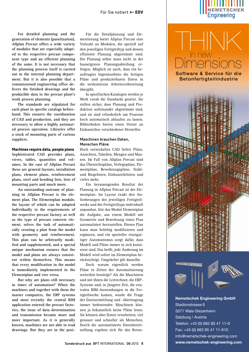**For detailed planning and the generation of elements (panelization), Allplan Precast offers a wide variety of modules that are especially adapted to the respective precast component type and an efficient planning of the same. It is not necessary that the planning process itself is carried out in the internal planning department. But it is also possible that a commissioned engineering office delivers the finished drawings and the producible data to the precast plant's work process planning.**

**The standards are stipulated for each plant in specific catalogs beforehand. This ensures the coordination of CAD and production, and they are necessary to allow a highly automated process operation. Libraries offer a stock of mounting parts of various suppliers.**

#### **Machines require data, people plans**

**Sophisticated CAD provides plans, views, tables, quantities and volumes. In the case of Allplan Precast these are general layouts, installation plans, element plans, reinforcement plans, steel and bending lists, lists of mounting parts and much more.**

**An outstanding outcome of planning in Allplan Precast is the element plan. The Elementplan module, the layout of which can be adapted individually to the requirements of the respective precast factory as well as the type of precast concrete element, solves the task of automatically creating a plan from the model with geometry and reinforcement. This plan can be arbitrarily modified and supplemented, and a special unique mechanism ensures that the model and plans are always consistent within themselves. This means that every modification in the model is immediately implemented in the Elementplan and vice versa.**

**But why are plans still necessary in times of automation? When the machines and together with them the master computers, the ERP systems and most recently the central BIM application entered the precast factories, the issue of data determination and transmission became more and more important. As it is generally known, machines are not able to read drawings. But they are in the posi-**

Für die Detailplanung und Elementierung bietet Allplan Precast eine Vielzahl an Modulen, die speziell auf den jeweiligen Fertigteiltyp und dessen effiziente Planung abgestimmt sind. Die Planung selbst muss nicht in der hauseigenen Planungsabteilung erfolgen. Möglich ist auch, dass ein beauftragtes Ingenieurbüro die fertigen Pläne und produzierbaren Daten in die werksinterne Arbeitsvorbereitung übergibt.

In spezifischen Katalogen werden je Werk vorab die Standards gesetzt. Sie stellen sicher, dass Planung und Produktion aufeinander abgestimmt sind, und sie sind erforderlich um Prozesse hoch automatisch ablaufen zu lassen. Bibliotheken bieten einen Vorrat an Einbauteilen verschiedener Hersteller.

#### Maschinen brauchen Daten, Menschen Pläne

Hoch entwickeltes CAD liefert Pläne, Ansichten, Tabellen, Mengen und Massen. Im Fall von Allplan Precast sind das Übersichtspläne, Verlegepläne, Elementpläne, Bewehrungspläne, Stahlund Biegelisten, Einbauteilelisten und vieles mehr.

Ein herausragendes Resultat der Planung in Allplan Precast ist der Elementplan: Im Layout exakt den Anforderungen des jeweiligen Fertigteilwerks und des Fertigteiltyps individuell anpassbar, löst das Modul Elementplan die Aufgabe, aus einem Modell mit Geometrie und Bewehrung einen Plan automatisiert herzustellen. Diesen Plan kann man beliebig modifizieren und ergänzen, und ein spezieller einzigartiger Automatismus sorgt dafür, dass Modell und Pläne immer in sich konsistent sind. Das heißt, jede Änderung im Modell wird sofort im Elementplan berücksichtigt. Umgekehrt gilt dasselbe.

Doch warum eigentlich werden Pläne in Zeiten der Automatisierung weiterhin benötigt? Als die Maschinen und mit ihnen die Leitrechner, die ERP-Systeme und, in jüngster Zeit, die zentralen BIM-Anwendungen in die Fertigteilwerke kamen, wurde die Frage der Datenermittlung und -übertragung immer bedeutender. Maschinen können ja bekanntlich keine Pläne lesen. Sie können aber Daten verarbeiten, viel genauer und schneller als Menschen. Durch die automatisierte Datenbereitstellung ergeben sich für das Beton-



**Dimensions** 

Software & Service für die Betonfertigteilindustrie

THINK

in new



**Nemetschek Engineering GmbH** Stadionstrasse 6 5071 Wals-Siezenheim Salzburg / Austria Telefon: +43 (0) 662 85 41 11-0 Fax: +43 (0) 662 85 41 11-610 info@nemetschek-engineering.com **www.nemetschek-engineering.com**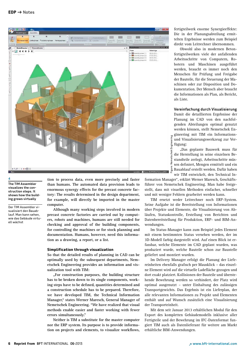

#### 4

The TIM Assembler visualizes the construction steps. It shows how the building grows virtually

Der TIM Assembler visualisiert den Bauablauf. Man kann sehen, wie das Gebäude virtuell wächst

**tion to process data, even more precisely and faster than humans. The automated data provision leads to enormous synergy effects for the precast concrete factory: The results determined in the design department, for example, will directly be imported in the master computer.**

**Although many working steps involved in modern precast concrete factories are carried out by computers, robots and machines, humans are still needed for checking and approval of the building components, for controlling the machines or for stock planning and documentation. Humans, however, need this information as a drawing, a report, or a list.**

#### **Simplification through visualization**

**So that the detailed results of planning in CAD can be optimally used by the subsequent departments, Nemetschek Engineering provides an information and visualization tool with TIM:**

**"For construction purposes, the building structure has to be broken down to its single components, working steps have to be defined, quantities determined and a construction schedule has to be prepared. Therefore, we have developed TIM, the Technical Information Manager," states Werner Maresch, General Manager of Nemetschek Engineering. "We have realized that visual methods enable easier and faster working with fewer errors simultaneously."**

**Neither is TIM a substitute for the master computer nor the ERP system. Its purpose is to provide information on projects and elements, to visualize workflows,**  fertigteilwerk enorme Synergieeffekte: Die in der Planungsabteilung ermittelten Ergebnisse werden zum Beispiel direkt vom Leitrechner übernommen.

Obwohl also in modernen Betonfertigteilwerken viele der anfallenden Arbeitsschritte von Computern, Robotern und Maschinen ausgeführt werden, braucht es immer noch den Menschen für Prüfung und Freigabe der Bauteile, für die Steuerung der Maschinen oder zur Disposition und Dokumentation. Der Mensch aber braucht die Informationen als Plan, als Bericht, als Liste.

#### Vereinfachung durch Visualisierung

Damit die detaillierten Ergebnisse der Planung im CAD von den nachfolgenden Abteilungen optimal genutzt werden können, stellt Nemetschek Engineering mit TIM ein Informationsund Visualisierungswerkzeug zur Verfügung:

"Das geplante Bauwerk muss für die Herstellung in seine einzelnen Bestandteile zerlegt, Arbeitsschritte müssen definiert, Mengen ermittelt und ein Bauablauf erstellt werden. Dafür haben wir TIM entwickelt, den Technical In-

formation Manager", erklärt Werner Maresch, Geschäftsführer von Nemetschek Engineering. Man habe festgestellt, dass mit visuellen Methoden einfacher, schneller und mit weniger Fehlern gearbeitet werden kann.

TIM ersetzt weder Leitrechner noch ERP-System. Seine Aufgabe ist die Bereitstellung von Informationen über Projekte und Elemente, die Visualisierung von Abläufen, Statuskontrolle, Erstellung von Berichten und Datenbereitstellung für Produktion, ERP- und BIM-Anwendungen.

Im Status-Manager kann zum Beispiel jedes Element mit einem bestimmten Status versehen werden, der im 3D-Modell farbig dargestellt wird. Auf einen Blick ist erfassbar, welche Elemente im CAD geplant wurden, was produziert wurde, welche Bauteile schon zur Baustelle geliefert und montiert wurden.

Im Delivery Manager erfolgt die Planung der Liefereinheiten ebenfalls grafisch per Mausklick – das einzelne Element wird auf die virtuelle Ladefläche gezogen und dort exakt platziert. Kollisionen der Bauteile und überstehende Bewehrung werden so verhindert, der Platz wird optimal ausgenutzt – unter Einhaltung des zulässigen Transportgewichts. Das Ergebnis ist ein Lieferplan, der alle relevanten Informationen zu Projekt und Elementen enthält und auf Wunsch zusätzlich eine Visualisierung der Transporteinheit.

Mit dem seit Januar 2013 erhältlichen Modul für den Export des kompletten Gebäudemodells inklusive aller Fertigteile und der Bewehrung im IFC-Datenformat fungiert TIM auch als Datenlieferant für weitere am Markt erhältliche BIM-Anwendungen.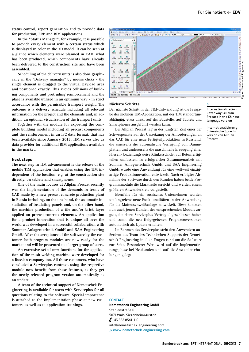**status control, report generation and to provide data for production, ERP and BIM applications.** 

**In the "Status Manager", for example, it is possible to provide every element with a certain status which is displayed in color in the 3D model. It can be seen at a glance which elements were planned in CAD, what has been produced, which components have already been delivered to the construction site and have been assembled.** 

**Scheduling of the delivery units is also done graphically in the "Delivery manager" by mouse clicks - the single element is dragged to the virtual payload area and positioned exactly. This avoids collisions of building components and protruding reinforcement and the place is available utilized in an optimum way - in strict accordance with the permissible transport weight. The outcome is a delivery schedule including all relevant information on the project and the elements and, in addition, an optional visualization of the transport units.**

**Together with the module for exporting the complete building model including all precast components and the reinforcement in an IFC data format, that has been available since January 2013, TIM serves also as data provider for additional BIM applications available in the market.**

#### **Next steps**

**The next step in TIM advancement is the release of the mobile TIM application that enables using the TIM independent of the location, e.g. at the construction site directly, on tablets and smartphones.** 

**One of the main focuses at Allplan Precast recently was the implementation of the demands in terms of CAD made by a new precast concrete production plant in Russia including, on the one hand, the automatic installation of insulating panels and, on the other hand, the machine production of a tile and/or brick layer applied on precast concrete elements. An application for a product innovation that is unique all over the world was developed in a successful collaboration with Sommer Anlagentechnik GmbH and SAA Engineering GmbH. After the acceptance of the software by the customer, both program modules are now ready for the market and will be presented to a larger group of users.**

**An extensive set of new functions for the application of the mesh welding machine were developed for a Russian company too. All those customers, who have concluded a Serviceplus contract, using the respective module now benefit from these features, as they get the newly released program version automatically as an update.**

**A team of the technical support of Nemetschek Engineering is available for users with Serviceplus for all questions relating to the software. Special importance is attached to the implementation phase at new customers as well as to application trainings.** 



#### Nächste Schritte

Der nächste Schritt in der TIM-Entwicklung ist die Freigabe der mobilen TIM-Applikation, mit der TIM standortunabhängig, etwa direkt auf der Baustelle, auf Tablets und Smartphones ausgeführt werden kann.

Bei Allplan Precast lag in der jüngsten Zeit einer der Schwerpunkte auf der Umsetzung der Anforderungen an das CAD für eine neue Fertigteilproduktion in Russland, die einerseits die automatische Verlegung von Dämmplatten und andererseits die maschinelle Erzeugung einer Fliesen- beziehungsweise Klinkerschicht auf Betonfertigteilen umfassten. In erfolgreicher Zusammenarbeit mit Sommer Anlagentechnik GmbH und SAA Engineering GmbH wurde eine Anwendung für eine weltweit einzigartige Produktinnovation entwickelt. Nach erfolgter Abnahme der Software durch den Kunden haben beide Programmmodule die Marktreife erreicht und werden einem größeren Anwenderkreis vorgestellt.

Ebenfalls für ein russisches Unternehmen wurden umfangreiche neue Funktionalitäten in der Anwendung für die Mattenschweißanlage entwickelt. Diese kommen nun auch jenen Kunden des entsprechenden Moduls zugute, die einen Serviceplus-Vertrag abgeschlossen haben und somit die neu freigegebenen Programmversionen automatisch als Update erhalten.

Im Rahmen des Serviceplus steht den Anwendern außerdem das Team des Technischen Supports der Nemetschek Engineering in allen Fragen rund um die Software zur Seite. Besonderer Wert wird auf die Implementierungsphase bei Neukunden und auf die Anwenderschulungen gelegt.

#### **CONTACT**

Nemetschek Engineering GmbH Stadionstraße 6 5071 Wals-Siezenheim/Austria  $\frac{1}{2}$ +43 662 854111-0 info@nemetschek-engineering.com ↗ www.nemetschek-engineering.com

#### 5

Internationalization unter way: Allplan Precast in the Chinese language version

Internationalisierung: Chinesische Sprachversion von Allplan Precast